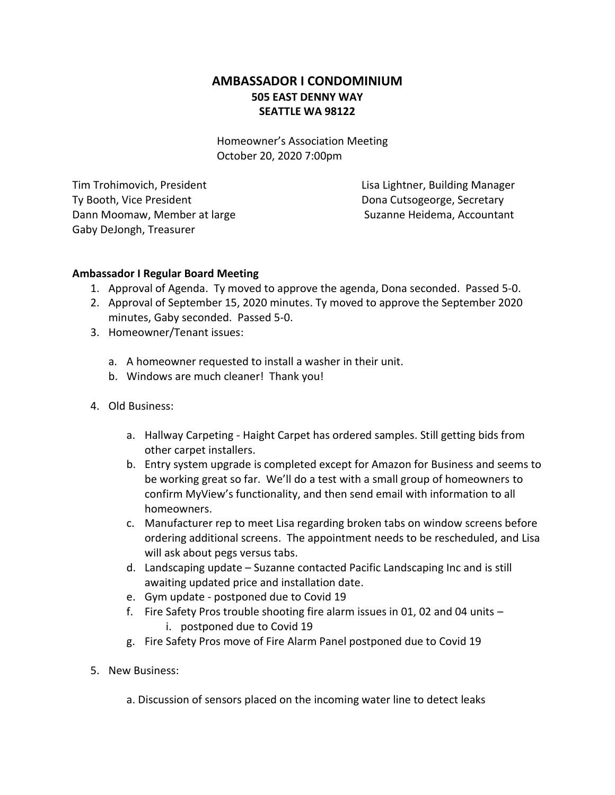## **AMBASSADOR I CONDOMINIUM 505 EAST DENNY WAY SEATTLE WA 98122**

Homeowner's Association Meeting October 20, 2020 7:00pm

Tim Trohimovich, President Lisa Lightner, Building Manager Ty Booth, Vice President **Dona Cutsogeorge, Secretary** Dann Moomaw, Member at large Suzanne Heidema, Accountant Gaby DeJongh, Treasurer

## **Ambassador I Regular Board Meeting**

- 1. Approval of Agenda. Ty moved to approve the agenda, Dona seconded. Passed 5-0.
- 2. Approval of September 15, 2020 minutes. Ty moved to approve the September 2020 minutes, Gaby seconded. Passed 5-0.
- 3. Homeowner/Tenant issues:
	- a. A homeowner requested to install a washer in their unit.
	- b. Windows are much cleaner! Thank you!
- 4. Old Business:
	- a. Hallway Carpeting Haight Carpet has ordered samples. Still getting bids from other carpet installers.
	- b. Entry system upgrade is completed except for Amazon for Business and seems to be working great so far. We'll do a test with a small group of homeowners to confirm MyView's functionality, and then send email with information to all homeowners.
	- c. Manufacturer rep to meet Lisa regarding broken tabs on window screens before ordering additional screens. The appointment needs to be rescheduled, and Lisa will ask about pegs versus tabs.
	- d. Landscaping update Suzanne contacted Pacific Landscaping Inc and is still awaiting updated price and installation date.
	- e. Gym update postponed due to Covid 19
	- f. Fire Safety Pros trouble shooting fire alarm issues in 01, 02 and 04 units i. postponed due to Covid 19
	- g. Fire Safety Pros move of Fire Alarm Panel postponed due to Covid 19
- 5. New Business:
	- a. Discussion of sensors placed on the incoming water line to detect leaks